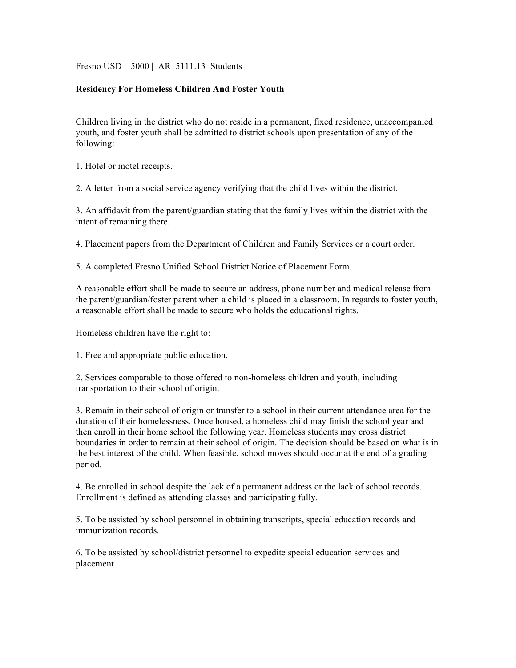Fresno USD | 5000 | AR 5111.13 Students

## **Residency For Homeless Children And Foster Youth**

Children living in the district who do not reside in a permanent, fixed residence, unaccompanied youth, and foster youth shall be admitted to district schools upon presentation of any of the following:

1. Hotel or motel receipts.

2. A letter from a social service agency verifying that the child lives within the district.

3. An affidavit from the parent/guardian stating that the family lives within the district with the intent of remaining there.

4. Placement papers from the Department of Children and Family Services or a court order.

5. A completed Fresno Unified School District Notice of Placement Form.

A reasonable effort shall be made to secure an address, phone number and medical release from the parent/guardian/foster parent when a child is placed in a classroom. In regards to foster youth, a reasonable effort shall be made to secure who holds the educational rights.

Homeless children have the right to:

1. Free and appropriate public education.

2. Services comparable to those offered to non-homeless children and youth, including transportation to their school of origin.

3. Remain in their school of origin or transfer to a school in their current attendance area for the duration of their homelessness. Once housed, a homeless child may finish the school year and then enroll in their home school the following year. Homeless students may cross district boundaries in order to remain at their school of origin. The decision should be based on what is in the best interest of the child. When feasible, school moves should occur at the end of a grading period.

4. Be enrolled in school despite the lack of a permanent address or the lack of school records. Enrollment is defined as attending classes and participating fully.

5. To be assisted by school personnel in obtaining transcripts, special education records and immunization records.

6. To be assisted by school/district personnel to expedite special education services and placement.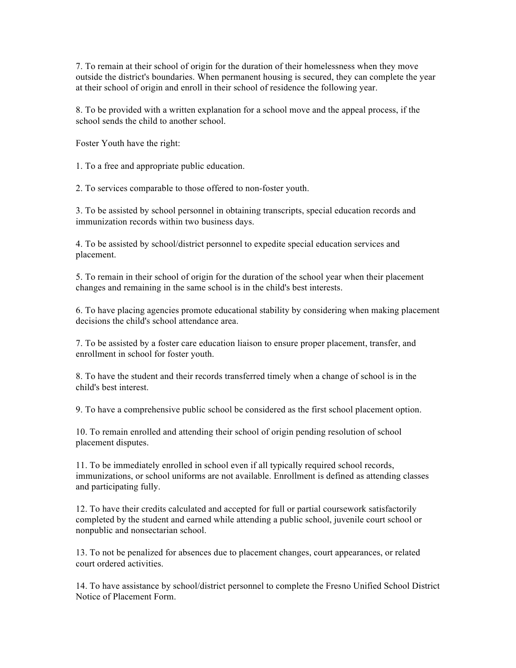7. To remain at their school of origin for the duration of their homelessness when they move outside the district's boundaries. When permanent housing is secured, they can complete the year at their school of origin and enroll in their school of residence the following year.

8. To be provided with a written explanation for a school move and the appeal process, if the school sends the child to another school.

Foster Youth have the right:

1. To a free and appropriate public education.

2. To services comparable to those offered to non-foster youth.

3. To be assisted by school personnel in obtaining transcripts, special education records and immunization records within two business days.

4. To be assisted by school/district personnel to expedite special education services and placement.

5. To remain in their school of origin for the duration of the school year when their placement changes and remaining in the same school is in the child's best interests.

6. To have placing agencies promote educational stability by considering when making placement decisions the child's school attendance area.

7. To be assisted by a foster care education liaison to ensure proper placement, transfer, and enrollment in school for foster youth.

8. To have the student and their records transferred timely when a change of school is in the child's best interest.

9. To have a comprehensive public school be considered as the first school placement option.

10. To remain enrolled and attending their school of origin pending resolution of school placement disputes.

11. To be immediately enrolled in school even if all typically required school records, immunizations, or school uniforms are not available. Enrollment is defined as attending classes and participating fully.

12. To have their credits calculated and accepted for full or partial coursework satisfactorily completed by the student and earned while attending a public school, juvenile court school or nonpublic and nonsectarian school.

13. To not be penalized for absences due to placement changes, court appearances, or related court ordered activities.

14. To have assistance by school/district personnel to complete the Fresno Unified School District Notice of Placement Form.